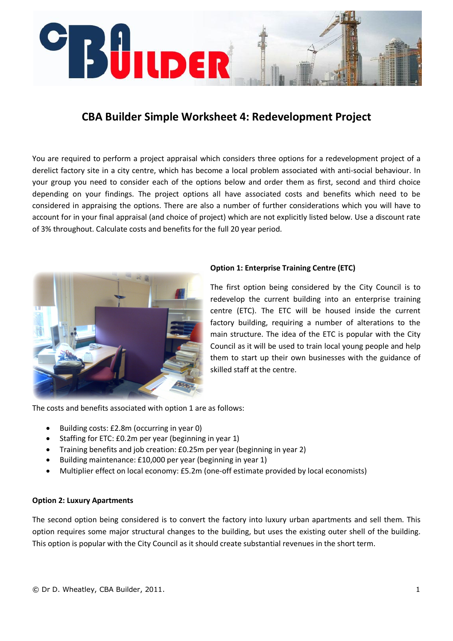# ÜILDER

# **CBA Builder Simple Worksheet 4: Redevelopment Project**

You are required to perform a project appraisal which considers three options for a redevelopment project of a derelict factory site in a city centre, which has become a local problem associated with anti‐social behaviour. In your group you need to consider each of the options below and order them as first, second and third choice depending on your findings. The project options all have associated costs and benefits which need to be considered in appraising the options. There are also a number of further considerations which you will have to account for in your final appraisal (and choice of project) which are not explicitly listed below. Use a discount rate of 3% throughout. Calculate costs and benefits for the full 20 year period.



# **Option 1: Enterprise Training Centre (ETC)**

The first option being considered by the City Council is to redevelop the current building into an enterprise training centre (ETC). The ETC will be housed inside the current factory building, requiring a number of alterations to the main structure. The idea of the ETC is popular with the City Council as it will be used to train local young people and help them to start up their own businesses with the guidance of skilled staff at the centre.

The costs and benefits associated with option 1 are as follows:

- Building costs: £2.8m (occurring in year 0)
- Staffing for ETC: £0.2m per year (beginning in year 1)
- · Training benefits and job creation: £0.25m per year (beginning in year 2)
- Building maintenance: £10,000 per year (beginning in year 1)
- · Multiplier effect on local economy: £5.2m (one‐off estimate provided by local economists)

# **Option 2: Luxury Apartments**

The second option being considered is to convert the factory into luxury urban apartments and sell them. This option requires some major structural changes to the building, but uses the existing outer shell of the building. This option is popular with the City Council as it should create substantial revenues in the short term.